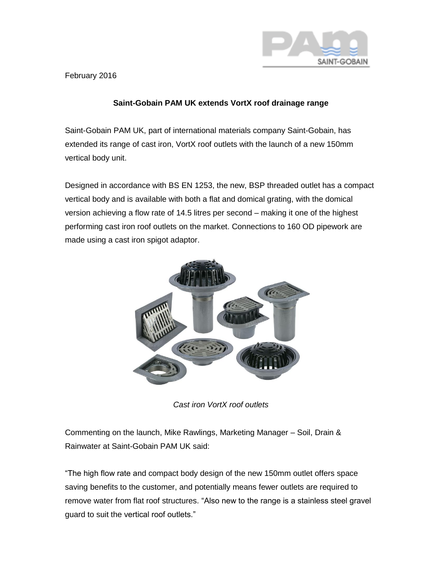

February 2016

## **Saint-Gobain PAM UK extends VortX roof drainage range**

Saint-Gobain PAM UK, part of international materials company Saint-Gobain, has extended its range of cast iron, VortX roof outlets with the launch of a new 150mm vertical body unit.

Designed in accordance with BS EN 1253, the new, BSP threaded outlet has a compact vertical body and is available with both a flat and domical grating, with the domical version achieving a flow rate of 14.5 litres per second – making it one of the highest performing cast iron roof outlets on the market. Connections to 160 OD pipework are made using a cast iron spigot adaptor.



*Cast iron VortX roof outlets*

Commenting on the launch, Mike Rawlings, Marketing Manager – Soil, Drain & Rainwater at Saint-Gobain PAM UK said:

"The high flow rate and compact body design of the new 150mm outlet offers space saving benefits to the customer, and potentially means fewer outlets are required to remove water from flat roof structures. "Also new to the range is a stainless steel gravel guard to suit the vertical roof outlets."